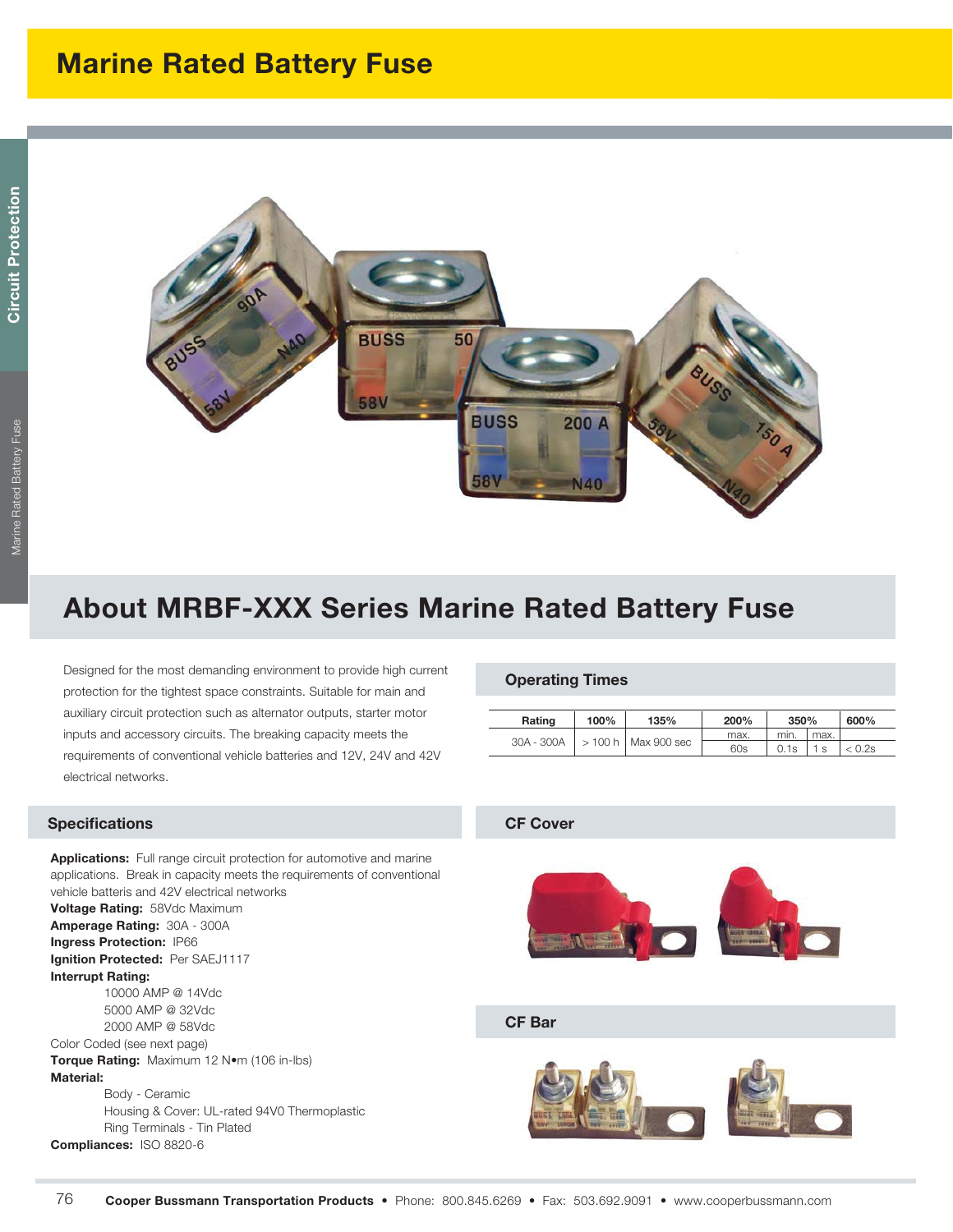

# **About MRBF-XXX Series Marine Rated Battery Fuse**

Designed for the most demanding environment to provide high current protection for the tightest space constraints. Suitable for main and auxiliary circuit protection such as alternator outputs, starter motor inputs and accessory circuits. The breaking capacity meets the requirements of conventional vehicle batteries and 12V, 24V and 42V electrical networks.

## **Specifications**

**Applications:** Full range circuit protection for automotive and marine applications. Break in capacity meets the requirements of conventional vehicle batteris and 42V electrical networks

**Voltage Rating:** 58Vdc Maximum **Amperage Rating:** 30A - 300A **Ingress Protection:** IP66 **Ignition Protected:** Per SAEJ1117 **Interrupt Rating:** 10000 AMP @ 14Vdc

 5000 AMP @ 32Vdc 2000 AMP @ 58Vdc Color Coded (see next page)

**Torque Rating:** Maximum 12 Nom (106 in-lbs) **Material:**

 Body - Ceramic Housing & Cover: UL-rated 94V0 Thermoplastic Ring Terminals - Tin Plated **Compliances:** ISO 8820-6

### **Operating Times**

| Rating     | 100%        | 135%        | 200% | 350% |      | 600% |
|------------|-------------|-------------|------|------|------|------|
| 30A - 300A | $> 100 h$ . | Max 900 sec | max. | min. | max. |      |
|            |             |             | 60s  | 0.1s |      | 0.2s |

### **CF Cover**



#### **CF Bar**